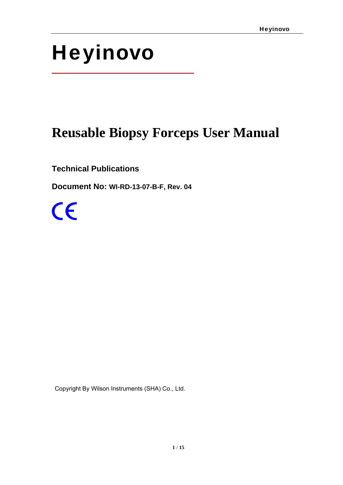# Heyinovo

## **Reusable Biopsy Forceps User Manual**

**Technical Publications** 

**Document No: WI-RD-13-07-B-F, Rev. 04** 

 $\epsilon$ 

Copyright By Wilson Instruments (SHA) Co., Ltd.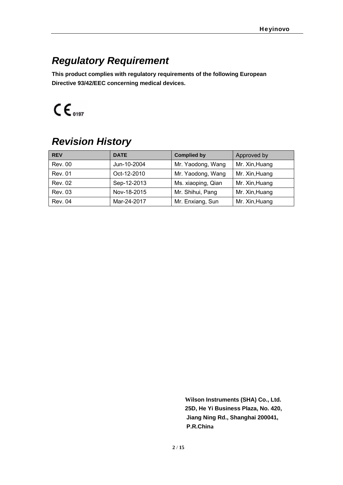### *Regulatory Requirement*

**This product complies with regulatory requirements of the following European Directive 93/42/EEC concerning medical devices.**

 $CE_{0197}$ 

### *Revision History*

| <b>REV</b>     | <b>DATE</b> | <b>Complied by</b> | Approved by    |
|----------------|-------------|--------------------|----------------|
| <b>Rev. 00</b> | Jun-10-2004 | Mr. Yaodong, Wang  | Mr. Xin, Huang |
| <b>Rev. 01</b> | Oct-12-2010 | Mr. Yaodong, Wang  | Mr. Xin, Huang |
| <b>Rev. 02</b> | Sep-12-2013 | Ms. xiaoping, Qian | Mr. Xin, Huang |
| <b>Rev. 03</b> | Nov-18-2015 | Mr. Shihui, Pang   | Mr. Xin, Huang |
| <b>Rev. 04</b> | Mar-24-2017 | Mr. Enxiang, Sun   | Mr. Xin, Huang |

**Wilson Instruments (SHA) Co., Ltd. 25D, He Yi Business Plaza, No. 420, Jiang Ning Rd., Shanghai 200041, P.R.China**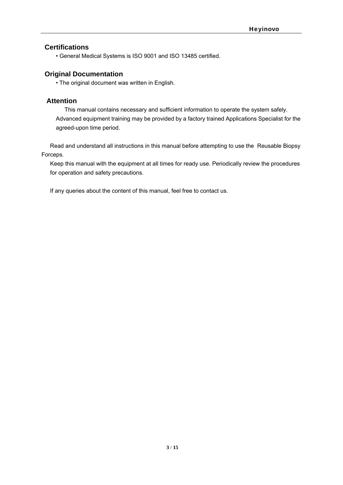#### **Certifications**

• General Medical Systems is ISO 9001 and ISO 13485 certified.

#### **Original Documentation**

• The original document was written in English.

#### **Attention**

This manual contains necessary and sufficient information to operate the system safely. Advanced equipment training may be provided by a factory trained Applications Specialist for the agreed-upon time period.

Read and understand all instructions in this manual before attempting to use the Reusable Biopsy Forceps.

Keep this manual with the equipment at all times for ready use. Periodically review the procedures for operation and safety precautions.

If any queries about the content of this manual, feel free to contact us.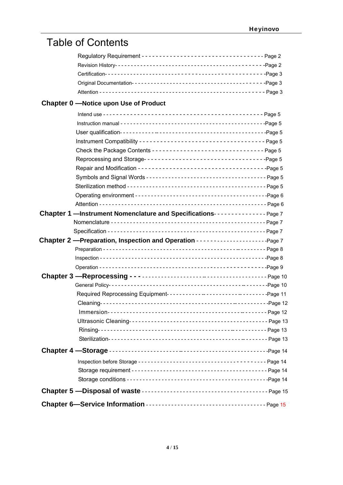### Table of Contents

### **Chapter 0 —Notice upon Use of Product**

| Check the Package Contents -------------------------------- Page 5         |  |
|----------------------------------------------------------------------------|--|
|                                                                            |  |
|                                                                            |  |
|                                                                            |  |
|                                                                            |  |
|                                                                            |  |
|                                                                            |  |
| Chapter 1 -Instrument Nomenclature and Specifications-------------- Page 7 |  |
|                                                                            |  |
|                                                                            |  |
|                                                                            |  |
|                                                                            |  |
|                                                                            |  |
|                                                                            |  |
|                                                                            |  |
|                                                                            |  |
|                                                                            |  |
|                                                                            |  |
|                                                                            |  |
|                                                                            |  |
|                                                                            |  |
|                                                                            |  |
|                                                                            |  |
|                                                                            |  |
|                                                                            |  |
|                                                                            |  |
|                                                                            |  |
|                                                                            |  |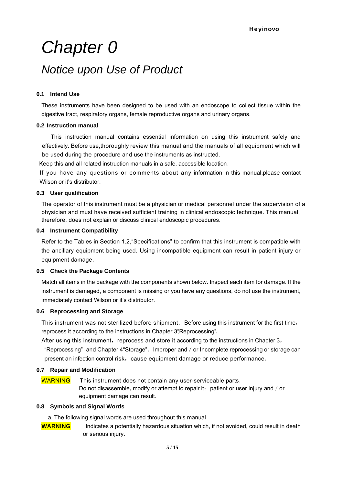## *Chapter 0 Notice upon Use of Product*

#### **0.1 Intend Use**

These instruments have been designed to be used with an endoscope to collect tissue within the digestive tract, respiratory organs, female reproductive organs and urinary organs.

#### **0.2 Instruction manual**

This instruction manual contains essential information on using this instrument safely and effectively. Before use, thoroughly review this manual and the manuals of all equipment which will be used during the procedure and use the instruments as instructed.

Keep this and all related instruction manuals in a safe, accessible location.

If you have any questions or comments about any information in this manual,please contact Wilson or it's distributor.

#### **0.3 User qualification**

The operator of this instrument must be a physician or medical personnel under the supervision of a physician and must have received sufficient training in clinical endoscopic technique. This manual, therefore, does not explain or discuss clinical endoscopic procedures.

#### **0.4 Instrument Compatibility**

Refer to the Tables in Section 1.2,"Specifications" to confirm that this instrument is compatible with the ancillary equipment being used. Using incompatible equipment can result in patient injury or equipment damage.

#### **0.5 Check the Package Contents**

Match all items in the package with the components shown below. Inspect each item for damage. If the instrument is damaged, a component is missing or you have any questions, do not use the instrument, immediately contact Wilson or it's distributor.

#### **0.6 Reprocessing and Storage**

This instrument was not sterilized before shipment. Before using this instrument for the first time, reprocess it according to the instructions in Chapter 3. Reprocessing".

After using this instrument, reprocess and store it according to the instructions in Chapter 3,

"Reprocessing" and Chapter 4"Storage". Improper and / or Incomplete reprocessing or storage can present an infection control risk, cause equipment damage or reduce performance.

#### **0.7 Repair and Modification**

WARNING This instrument does not contain any user-serviceable parts. Do not disassemble, modify or attempt to repair it; patient or user injury and  $/$  or equipment damage can result.

#### **0.8 Symbols and Signal Words**

- a. The following signal words are used throughout this manual
- **WARNING** Indicates a potentially hazardous situation which, if not avoided, could result in death or serious injury.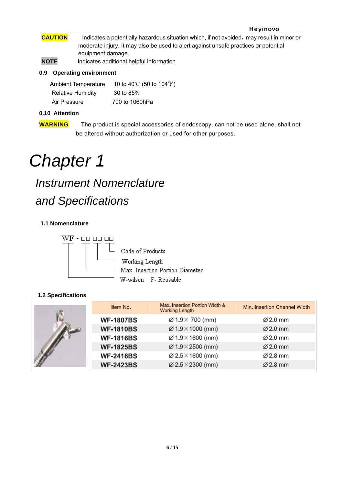#### Heyinovo

- **CAUTION** Indicates a potentially hazardous situation which, if not avoided, may result in minor or moderate injury. It may also be used to alert against unsafe practices or potential equipment damage.
- **NOTE** Indicates additional helpful information

#### **0.9 Operating environment**

| <b>Ambient Temperature</b> | 10 to 40 $\degree$ C (50 to 104 $\degree$ F) |
|----------------------------|----------------------------------------------|
| <b>Relative Humidity</b>   | 30 to 85%                                    |
| Air Pressure               | 700 to 1060hPa                               |

#### **0.10 Attention**

**WARNING** The product is special accessories of endoscopy, can not be used alone, shall not be altered without authorization or used for other purposes.

## *Chapter 1*

## *Instrument Nomenclature and Specifications*

#### **1.1 Nomenclature**



Code of Products Working Length Max. Insertion Portion Diameter W-wilson F- Reusable

#### **1.2 Specifications**

|  | Item No.         | Max. Insertion Portion Width &<br>Working Length | Min. Insertion Channel Width |
|--|------------------|--------------------------------------------------|------------------------------|
|  | <b>WF-1807BS</b> | $\varnothing$ 1.9 $\times$ 700 (mm)              | $\varnothing$ 2.0 mm         |
|  | <b>WF-1810BS</b> | $\varnothing$ 1.9 $\times$ 1000 (mm)             | $\varnothing$ 2.0 mm         |
|  | <b>WF-1816BS</b> | $\varnothing$ 1.9 $\times$ 1600 (mm)             | $\varnothing$ 2.0 mm         |
|  | <b>WF-1825BS</b> | $\varnothing$ 1.9 $\times$ 2500 (mm)             | $\varnothing$ 2.0 mm         |
|  | <b>WF-2416BS</b> | $\varnothing$ 2.5 $\times$ 1600 (mm)             | $\varnothing$ 2.8 mm         |
|  | <b>WF-2423BS</b> | $\varnothing$ 2.5 $\times$ 2300 (mm)             | $\varnothing$ 2.8 mm         |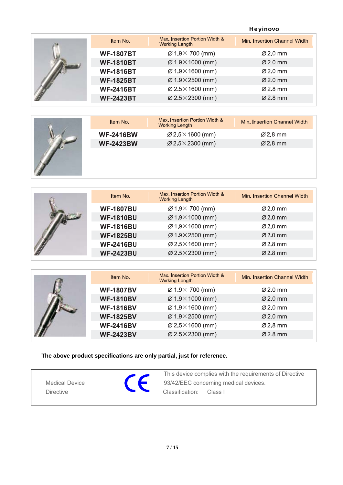#### Heyinovo

|  | Item No.         | Max. Insertion Portion Width &<br>Working Length | Min. Insertion Channel Width |
|--|------------------|--------------------------------------------------|------------------------------|
|  | <b>WF-1807BT</b> | $\varnothing$ 1.9 $\times$ 700 (mm)              | Ø2.0 mm                      |
|  | <b>WF-1810BT</b> | $\varnothing$ 1.9 $\times$ 1000 (mm)             | $\varnothing$ 2.0 mm         |
|  | <b>WF-1816BT</b> | $\varnothing$ 1.9 $\times$ 1600 (mm)             | Ø2.0 mm                      |
|  | <b>WF-1825BT</b> | $\varnothing$ 1.9 $\times$ 2500 (mm)             | $Ø2.0$ mm                    |
|  | <b>WF-2416BT</b> | $\varnothing$ 2.5 $\times$ 1600 (mm)             | Ø2.8 mm                      |
|  | <b>WF-2423BT</b> | $\varnothing$ 2.5 $\times$ 2300 (mm)             | Ø 2.8 mm                     |

|  | Item No.         | Max. Insertion Portion Width &<br><b>Working Length</b> | Min. Insertion Channel Width |
|--|------------------|---------------------------------------------------------|------------------------------|
|  | <b>WF-2416BW</b> | $\varnothing$ 2.5 $\times$ 1600 (mm)                    | Ø 2.8 mm                     |
|  | <b>WF-2423BW</b> | $\varnothing$ 2.5 $\times$ 2300 (mm)                    | $\varnothing$ 2.8 mm         |
|  |                  |                                                         |                              |

|  | Item No.         | Max. Insertion Portion Width &<br><b>Working Length</b> | Min. Insertion Channel Width |
|--|------------------|---------------------------------------------------------|------------------------------|
|  | <b>WF-1807BU</b> | $\varnothing$ 1.9 $\times$ 700 (mm)                     | Ø2.0 mm                      |
|  | <b>WF-1810BU</b> | $\varnothing$ 1.9 $\times$ 1000 (mm)                    | $\varnothing$ 2.0 mm         |
|  | <b>WF-1816BU</b> | $\varnothing$ 1.9 $\times$ 1600 (mm)                    | $\varnothing$ 2.0 mm         |
|  | <b>WF-1825BU</b> | $\varnothing$ 1.9 $\times$ 2500 (mm)                    | $\varnothing$ 2.0 mm         |
|  | <b>WF-2416BU</b> | $\varnothing$ 2.5 $\times$ 1600 (mm)                    | Ø2.8 mm                      |
|  | <b>WF-2423BU</b> | $\varnothing$ 2.5 $\times$ 2300 (mm)                    | Ø2.8 mm                      |

|  | Item No.         | Max. Insertion Portion Width &<br><b>Working Length</b> | Min. Insertion Channel Width |
|--|------------------|---------------------------------------------------------|------------------------------|
|  | <b>WF-1807BV</b> | $\varnothing$ 1.9 $\times$ 700 (mm)                     | $\varnothing$ 2.0 mm         |
|  | <b>WF-1810BV</b> | $\varnothing$ 1.9 $\times$ 1000 (mm)                    | $\varnothing$ 2.0 mm         |
|  | <b>WF-1816BV</b> | $\varnothing$ 1.9 $\times$ 1600 (mm)                    | $\varnothing$ 2.0 mm         |
|  | <b>WF-1825BV</b> | $\varnothing$ 1.9×2500 (mm)                             | Ø 2.0 mm                     |
|  | <b>WF-2416BV</b> | $\varnothing$ 2.5 $\times$ 1600 (mm)                    | Ø 2.8 mm                     |
|  | <b>WF-2423BV</b> | $\varnothing$ 2.5 $\times$ 2300 (mm)                    | $\varnothing$ 2.8 mm         |

**The above product specifications are only partial, just for reference.** 

|                       | This device complies with the requirements of Directive |
|-----------------------|---------------------------------------------------------|
| <b>Medical Device</b> | 93/42/EEC concerning medical devices.                   |
| <b>Directive</b>      | Classification:<br>-Class I                             |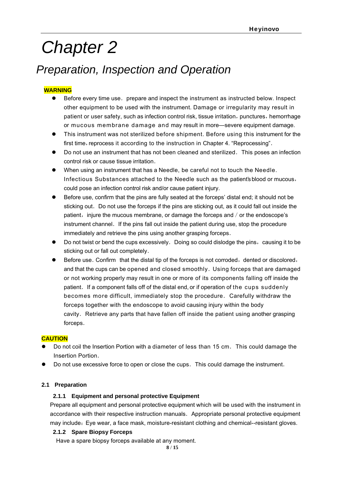## *Chapter 2*

### *Preparation, Inspection and Operation*

#### **WARNING**

- $\bullet$  Before every time use. prepare and inspect the instrument as instructed below. Inspect other equipment to be used with the instrument. Damage or irregularity may result in patient or user safety, such as infection control risk, tissue irritation, punctures, hemorrhage or mucous membrane damage and may result in more—severe equipment damage.
- This instrument was not sterilized before shipment. Before using this instrument for the first time, reprocess it according to the instruction in Chapter 4. "Reprocessing".
- $\bullet$  Do not use an instrument that has not been cleaned and sterilized. This poses an infection control risk or cause tissue irritation.
- When using an instrument that has a Needle, be careful not to touch the Needle. Infectious Substances attached to the Needle such as the patient's blood or mucous, could pose an infection control risk and/or cause patient injury.
- Before use, confirm that the pins are fully seated at the forceps' distal end; it should not be sticking out. Do not use the forceps if the pins are sticking out, as it could fall out inside the patient, injure the mucous membrane, or damage the forceps and / or the endoscope's instrument channel. If the pins fall out inside the patient during use, stop the procedure immediately and retrieve the pins using another grasping forceps.
- $\bullet$  Do not twist or bend the cups excessively. Doing so could dislodge the pins, causing it to be sticking out or fall out completely.
- Before use. Confirm that the distal tip of the forceps is not corroded, dented or discolored, and that the cups can be opened and closed smoothly. Using forceps that are damaged or not working properly may result in one or more of its components falling off inside the patient. If a component falls off of the distal end, or if operation of the cups suddenly becomes more difficult, immediately stop the procedure. Carefully withdraw the forceps together with the endoscope to avoid causing injury within the body cavity. Retrieve any parts that have fallen off inside the patient using another grasping forceps.

#### **CAUTION**

- Do not coil the Insertion Portion with a diameter of less than 15 cm. This could damage the Insertion Portion.
- Do not use excessive force to open or close the cups. This could damage the instrument.

#### **2.1 Preparation**

#### **2.1.1 Equipment and personal protective Equipment**

 Prepare all equipment and personal protective equipment which will be used with the instrument in accordance with their respective instruction manuals. Appropriate personal protective equipment may include: Eye wear, a face mask, moisture-resistant clothing and chemical--resistant gloves.

#### **2.1.2 Spare Biopsy Forceps**

Have a spare biopsy forceps available at any moment.

**8** / **15**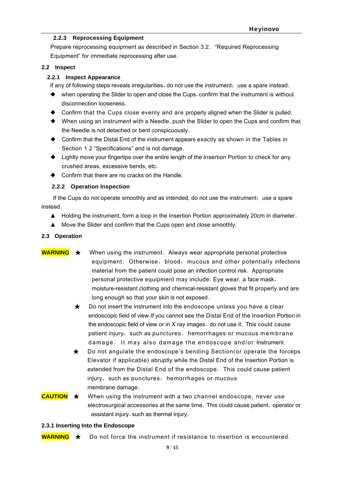#### **2.2.3 Reprocessing Equipment**

Prepare reprocessing equipment as described in Section 3.2."Required Reprocessing Equipment" for immediate reprocessing after use.

#### **2.2 Inspect**

#### **2.2.1 Inspect Appearance**

If any of following steps reveals irregularities, do not use the instrument; use a spare instead.

- ◆ when operating the Slider to open and close the Cups, confirm that the instrument is without disconnection looseness.
- ◆ Confirm that the Cups close evenly and are properly aligned when the Slider is pulled.
- ◆ When using an instrument with a Needle. push the Slider to open the Cups and confirm that the Needle is not detached or bent conspicuously.
- ◆ Confirm that the Distal End of the instrument appears exactly as shown in the Tables in Section 1.2 "Specifications" and is not damage.
- ◆ Lightly move your fingertips over the entire length of the Insertion Portion to check for any crushed areas, excessive bends, etc.
- ◆ Confirm that there are no cracks on the Handle.

#### **2.2.2 Operation Inspection**

If the Cups do not operate smoothly and as intended, do not use the instrument; use a spare instead.

- ▲ Holding the instrument, form a loop in the Insertion Portion approximately 20cm in diameter.
- ▲ Move the Slider and confirm that the Cups open and close smoothly.

#### **2.3 Operation**

- **WARNING** ★ When using the instrument. Always wear appropriate personal protective equipment. Otherwise, blood, mucous and other potentially infections material from the patient could pose an infection control risk. Appropriate personal protective equipment may include: Eye wear, a face mask, moisture-resistant clothing and chemical-resistant gloves that fit properly and are long enough so that your skin is not exposed.
	- ★Do not insert the instrument into the endoscope unless you have a clear endoscopic field of view.If you cannot see the Distal End of the Insertion Portion in the endoscopic field of view or in X ray images. do not use it. This could cause patient injury, such as punctures, hemorrhages or mucous membrane damage. It may also damage the endoscope and/or Instrument.
	- ★Do not angulate the endoscope's bending Section(or operate the forceps Elevator if applicable) abruptly while the Distal End of the Insertion Portion is extended from the Distal End of the endoscope. This could cause patient injury, such as punctures, hemorrhages or mucous membrane damage.
- **CAUTION** ★When using the instrument with a two channel endoscope, never use electrosurgical accessories at the same time. This could cause patient, operator or assistant injury, such as thermal injury.

#### **2.3.1 Inserting Into the Endoscope**

**WARNING** ★Do not force the instrument if resistance to insertion is encountered.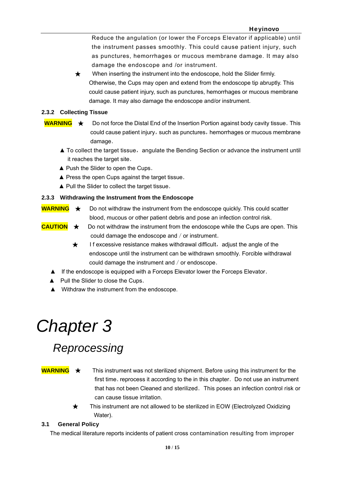Reduce the angulation (or lower the Forceps Elevator if applicable) until the instrument passes smoothly. This could cause patient injury, such as punctures, hemorrhages or mucous membrane damage. It may also damage the endoscope and /or instrument.

★When inserting the instrument into the endoscope, hold the Slider firmly. Otherwise, the Cups may open and extend from the endoscope tip abruptly. This could cause patient injury, such as punctures, hemorrhages or mucous membrane damage. It may also damage the endoscope and/or instrument.

#### **2.3.2 Collecting Tissue**

- **WARNING** ★ Do not force the Distal End of the Insertion Portion against body cavity tissue. This could cause patient injury, such as punctures, hemorrhages or mucous membrane damage.
	- $\blacktriangle$  To collect the target tissue, angulate the Bending Section or advance the instrument until it reaches the target site.
	- ▲ Push the Slider to open the Cups.
	- ▲ Press the open Cups against the target tissue.
	- ▲ Pull the Slider to collect the target tissue.

#### **2.3.3 Withdrawing the Instrument from the Endoscope**

- **WARNING** ★ Do not withdraw the instrument from the endoscope quickly. This could scatter blood, mucous or other patient debris and pose an infection control risk.
- **CAUTION** ★Do not withdraw the instrument from the endoscope while the Cups are open. This could damage the endoscope and / or instrument.
	- **★** If excessive resistance makes withdrawal difficult, adjust the angle of the endoscope until the instrument can be withdrawn smoothly. Forcible withdrawal could damage the instrument and / or endoscope.
	- ▲ If the endoscope is equipped with a Forceps Elevator lower the Forceps Elevator.
	- ▲ Pull the Slider to close the Cups.
	- ▲ Withdraw the instrument from the endoscope.

## *Chapter 3*

## *Reprocessing*

**WARNING** ★This instrument was not sterilized shipment. Before using this instrument for the first time. reprocess it according to the in this chapter. Do not use an instrument that has not been Cleaned and sterilized. This poses an infection control risk or can cause tissue irritation.

> ★This instrument are not allowed to be sterilized in EOW (Electrolyzed Oxidizing Water).

#### **3.1 General Policy**

The medical literature reports incidents of patient cross contamination resulting from improper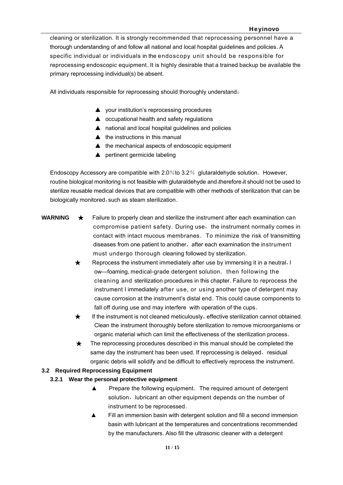cleaning or sterilization. It is strongly recommended that reprocessing personnel have a thorough understanding of and follow all national and local hospital guidelines and policies.A specific individual or individuals in the endoscopy unit should be responsible for reprocessing endoscopic equipment. It is highly desirable that a trained backup be available the primary reprocessing individual(s) be absent.

All individuals responsible for reprocessing should thoroughly understand:

- ▲ your institution's reprocessing procedures
- ▲ occupational health and safety regulations
- ▲ national and local hospital guidelines and policies
- $\triangle$  the instructions in this manual
- ▲ the mechanical aspects of endoscopic equipment
- ▲ pertinent germicide labeling

Endoscopy Accessory are compatible with  $2.0\%$  to  $3.2\%$  glutaraldehyde solution. However, routine biological monitoring is not feasible with glutaraldehyde and,therefore,it should not be used to sterilize reusable medical devices that are compatible with other methods of sterilization that can be biologically monitored, such as steam sterilization.

- 
- **WARNING** ★Failure to properly clean and sterilize the instrument after each examination can compromise patient safety. During use, the instrument normally comes in contact with intact mucous membranes. To minimize the risk of transmitting diseases from one patient to another, after each examination the instrument must undergo thorough cleaning followed by sterilization.
	- ★Reprocess the instrument immediately after use by immersing it in a neutral, l ow—foaming, medical-grade detergent solution. then following the cleaning and sterilization procedures in this chapter.Failure to reprocess the instrument I immediately after use, or using another type of detergent may cause corrosion at the instrument's distal end.This could cause components to fall off during use and may interfere with operation of the cups.
	- **★** If the instrument is not cleaned meticulously, effective sterilization cannot obtained. Clean the instrument thoroughly before sterilization to remove microorganisms or organic material which can limit the effectiveness of the sterilization process.
	- ★The reprocessing procedures described in this manual should be completed the same day the instrument has been used. If reprocessing is delayed, residual organic debris will solidify and be difficult to effectively reprocess the instrument.

#### **3.2 Required Reprocessing Equipment**

#### **3.2.1 Wear the personal protective equipment**

- ▲ Prepare the following equipment.The required amount of detergent solution, lubricant an other equipment depends on the number of instrument to be reprocessed.
- Fill an immersion basin with detergent solution and fill a second immersion basin with lubricant at the temperatures and concentrations recommended by the manufacturers. Also fill the ultrasonic cleaner with a detergent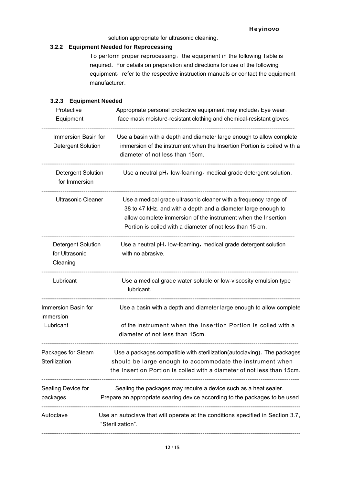solution appropriate for ultrasonic cleaning.

#### **3.2.2 Equipment Needed for Reprocessing**

To perform proper reprocessing, the equipment in the following Table is required. For details on preparation and directions for use of the following equipment, refer to the respective instruction manuals or contact the equipment manufacturer.

#### **3.2.3 Equipment Needed**

| Protective<br>Equipment                                  | Appropriate personal protective equipment may include: Eye wear,<br>face mask moisture-resistant clothing and chemical-resistant gloves.                                                                                                                        |  |  |
|----------------------------------------------------------|-----------------------------------------------------------------------------------------------------------------------------------------------------------------------------------------------------------------------------------------------------------------|--|--|
| Immersion Basin for<br>Detergent Solution                | Use a basin with a depth and diameter large enough to allow complete<br>immersion of the instrument when the Insertion Portion is coiled with a<br>diameter of not less than 15cm.                                                                              |  |  |
| Detergent Solution<br>for Immersion                      | Use a neutral pH, low-foaming, medical grade detergent solution.                                                                                                                                                                                                |  |  |
| <b>Ultrasonic Cleaner</b>                                | Use a medical grade ultrasonic cleaner with a frequency range of<br>38 to 47 kHz. and with a depth and a diameter large enough to<br>allow complete immersion of the instrument when the Insertion<br>Portion is coiled with a diameter of not less than 15 cm. |  |  |
| <b>Detergent Solution</b><br>for Ultrasonic<br>Cleaning  | Use a neutral pH, low-foaming, medical grade detergent solution<br>with no abrasive.                                                                                                                                                                            |  |  |
| Lubricant                                                | Use a medical grade water soluble or low-viscosity emulsion type<br>lubricant.                                                                                                                                                                                  |  |  |
| Immersion Basin for<br>immersion                         | Use a basin with a depth and diameter large enough to allow complete                                                                                                                                                                                            |  |  |
| Lubricant                                                | of the instrument when the Insertion Portion is coiled with a<br>diameter of not less than 15cm.                                                                                                                                                                |  |  |
| Packages for Steam<br>Sterilization<br>----------------- | Use a packages compatible with sterilization(autoclaving). The packages<br>should be large enough to accommodate the instrument when<br>the Insertion Portion is coiled with a diameter of not less than 15cm.                                                  |  |  |
| Sealing Device for<br>packages                           | Sealing the packages may require a device such as a heat sealer.<br>Prepare an appropriate searing device according to the packages to be used.                                                                                                                 |  |  |
| Autoclave                                                | Use an autoclave that will operate at the conditions specified in Section 3.7,<br>"Sterilization".                                                                                                                                                              |  |  |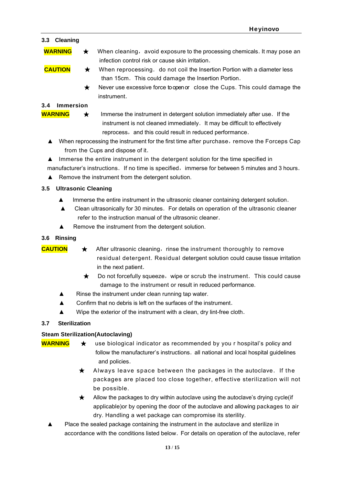#### **3.3 Cleaning**

- **WARNING**  $\star$  When cleaning, avoid exposure to the processing chemicals. It may pose an infection control risk or cause skin irritation.
- **CAUTION** ★When reprocessing.do not coil the Insertion Portion with a diameter less than 15cm. This could damage the Insertion Portion.
	- ★Never use excessive force to open or close the Cups. This could damage the instrument.

#### **3.4 Immersion**

- **WARNING** ★ Immerse the instrument in detergent solution immediately after use. If the instrument is not cleaned immediately. It may be difficult to effectively reprocess, and this could result in reduced performance.
	- ▲ When reprocessing the instrument for the first time after purchase, remove the Forceps Cap from the Cups and dispose of it.
	- ▲ Immerse the entire instrument in the detergent solution for the time specified in manufacturer's instructions. If no time is specified, immerse for between 5 minutes and 3 hours.
	- ▲ Remove the instrument from the detergent solution.

#### **3.5 Ultrasonic Cleaning**

- ▲ Immerse the entire instrument in the ultrasonic cleaner containing detergent solution.
- ▲ Clean ultrasonically for 30 minutes.For details on operation of the ultrasonic cleaner refer to the instruction manual of the ultrasonic cleaner.
- ▲ Remove the instrument from the detergent solution.

#### **3.6 Rinsing**

- **CAUTION** ★ After ultrasonic cleaning, rinse the instrument thoroughly to remove residual detergent. Residual detergent solution could cause tissue irritation in the next patient.
	- ★Do not forcefully squeeze,wipe or scrub the instrument.This could cause damage to the instrument or result in reduced performance.
	- ▲ Rinse the instrument under clean running tap water.
	- ▲ Confirm that no debris is left on the surfaces of the instrument.
	- ▲ Wipe the exterior of the instrument with a clean, dry lint-free cloth.

#### **3.7 Sterilization**

#### **Steam Sterilization(Autoclaving)**

- **WARNING** ★ use biological indicator as recommended by you r hospital's policy and follow the manufacturer's instructions. all national and local hospital guidelines and policies.
	- ★Always leave space between the packages in the autoclave.If the packages are placed too close together, effective sterilization will not be possible.
	- ★Allow the packages to dry within autoclave using the autoclave's drying cycle(if applicable)or by opening the door of the autoclave and allowing packages to air dry. Handling a wet package can compromise its sterility.
	- ▲ Place the sealed package containing the instrument in the autoclave and sterilize in accordance with the conditions listed below. For details on operation of the autoclave, refer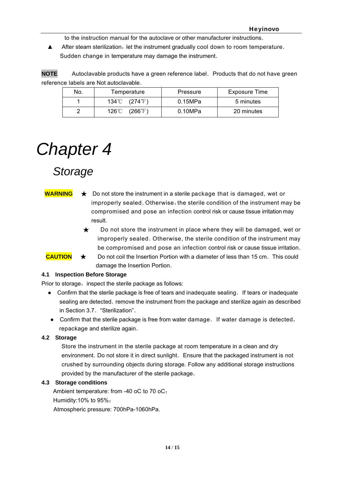to the instruction manual for the autoclave or other manufacturer instructions.

▲ After steam sterilization, let the instrument gradually cool down to room temperature. Sudden change in temperature may damage the instrument.

**NOTE** Autoclavable products have a green reference label. Products that do not have green reference labels are Not autoclavable.

| No. | Temperature                | Pressure | Exposure Time |
|-----|----------------------------|----------|---------------|
|     | 134°C (274°F)              | 0.15MPa  | 5 minutes     |
|     | $(266^{\circ}F)$<br>126℃ ∖ | 0.10MPa  | 20 minutes    |

## *Chapter 4*

## *Storage*

- **WARNING** ★Do not store the instrument in a sterile package that is damaged, wet or improperly sealed. Otherwise, the sterile condition of the instrument may be compromised and pose an infection control risk or cause tissue irritation may result.
	- ★Do not store the instrument in place where they will be damaged, wet or improperly sealed. Otherwise, the sterile condition of the instrument may be compromised and pose an infection control risk or cause tissue irritation.

**CAUTION ★** Do not coil the Insertion Portion with a diameter of less than 15 cm. This could damage the Insertion Portion.

#### **4.1 Inspection Before Storage**

Prior to storage, inspect the sterile package as follows:

- Confirm that the sterile package is free of tears and inadequate sealing. If tears or inadequate sealing are detected. remove the instrument from the package and sterilize again as described in Section 3.7. "Sterilization".
- Confirm that the sterile package is free from water damage. If water damage is detected, repackage and sterilize again.

#### **4.2 Storage**

 Store the instrument in the sterile package at room temperature in a clean and dry environment. Do not store it in direct sunlight. Ensure that the packaged instrument is not crushed by surrounding objects during storage. Follow any additional storage instructions provided by the manufacturer of the sterile package.

#### **4.3 Storage conditions**

Ambient temperature: from -40 oC to 70 oC;

Humidity:10% to 95%;

Atmospheric pressure: 700hPa-1060hPa.